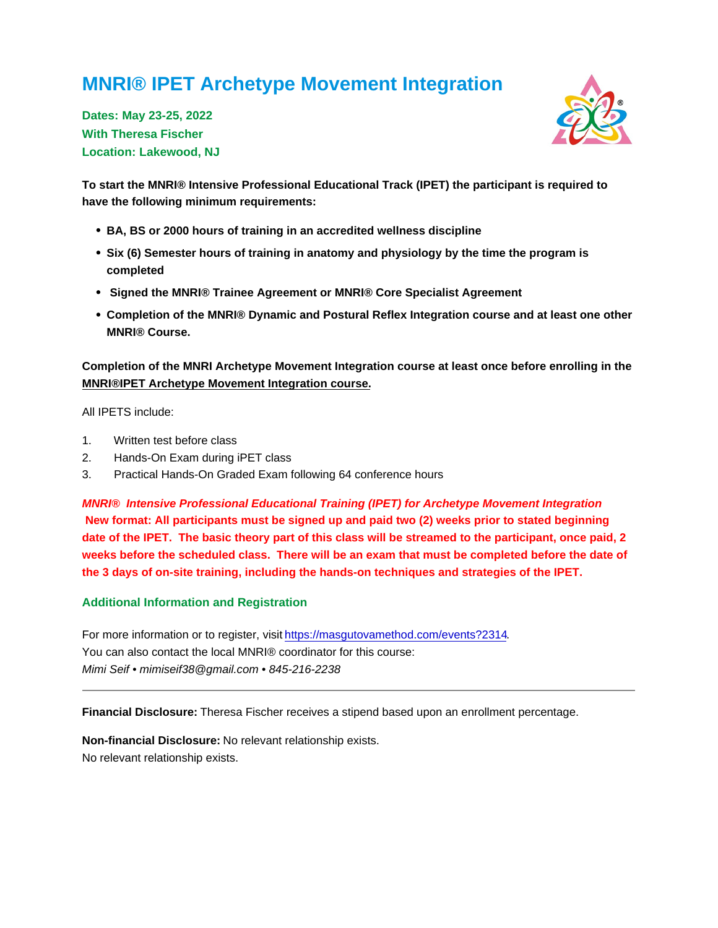## MNRI® IPET Archetype Movement Integration

Dates: May 23-25, 2022 With Theresa Fischer Location: Lakewood, NJ

To start the MNRI® Intensive Professional Educational Track (IPET) the participant is required to have the following minimum requirements:

- BA, BS or 2000 hours of training in an accredited wellness discipline
- Six (6) Semester hours of training in anatomy and physiology by the time the program is completed
- Signed the MNRI® Trainee Agreement or MNRI® Core Specialist Agreement
- Completion of the MNRI® Dynamic and Postural Reflex Integration course and at least one other MNRI® Course.

Completion of the MNRI Archetype Movement Integration course at least once before enrolling in the MNRI®IPET Archetype Movement Integration course.

All IPETS include:

- 1. Written test before class
- 2. Hands-On Exam during iPET class
- 3. Practical Hands-On Graded Exam following 64 conference hours

MNRI® Intensive Professional Educational Training (IPET) for Archetype Movement Integration New format: All participants must be signed up and paid two (2) weeks prior to stated beginning date of the IPET. The basic theory part of this class will be streamed to the participant, once paid, 2 weeks before the scheduled class. There will be an exam that must be completed before the date of the 3 days of on-site training, including the hands-on techniques and strategies of the IPET.

## Additional Information and Registration

For more information or to register, visit [https://masgutovamethod.com/events?2314.](https://masgutovamethod.com/events?2314) You can also contact the local MNRI® coordinator for this course: Mimi Seif • mimiseif38@gmail.com • 845-216-2238

Financial Disclosure: Theresa Fischer receives a stipend based upon an enrollment percentage.

Non-financial Disclosure: No relevant relationship exists. No relevant relationship exists.